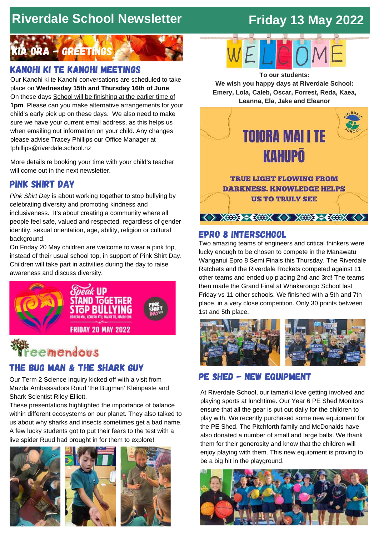## **Riverdale School Newsletter**

## **Friday 13 May 2022**



## Kanohi ki te kanohi meetings

Our Kanohi ki te Kanohi conversations are scheduled to take place on **Wednesday 15th and Thursday 16th of June**. On these days School will be finishing at the earlier time of **1pm**. Please can you make alternative arrangements for your child's early pick up on these days. We also need to make sure we have your current email address, as this helps us when emailing out information on your child. Any changes please advise Tracey Phillips our Office Manager at [tphillips@riverdale.school.nz](mailto:tphillips@riverdale.school.nz)

More details re booking your time with your child's teacher will come out in the next newsletter.

## pink shirt day

*Pink Shirt Day* is about working together to stop bullying by celebrating diversity and promoting kindness and inclusiveness. It's about creating a community where all people feel safe, valued and respected, regardless of gender identity, sexual orientation, age, ability, religion or cultural background.

On Friday 20 May children are welcome to wear a pink top, instead of their usual school top, in support of Pink Shirt Day. Children will take part in activities during the day to raise awareness and discuss diversity.



# emendous

## the bug man & the shark guy

Our Term 2 Science Inquiry kicked off with a visit from Mazda Ambassadors Ruud 'the Bugman' Kleinpaste and Shark Scientist Riley Elliott.

These presentations highlighted the importance of balance within different ecosystems on our planet. They also talked to us about why sharks and insects sometimes get a bad name. A few lucky students got to put their fears to the test with a live spider Ruud had brought in for them to explore!





**We wish you happy days at Riverdale School: Emery, Lola, Caleb, Oscar, Forrest, Reda, Kaea, Leanna, Ela, Jake and Eleanor**



### epro 8 interschool

Two amazing teams of engineers and critical thinkers were lucky enough to be chosen to compete in the Manawatu Wanganui Epro 8 Semi Finals this Thursday. The Riverdale Ratchets and the Riverdale Rockets competed against 11 other teams and ended up placing 2nd and 3rd! The teams then made the Grand Final at Whakarongo School last Friday vs 11 other schools. We finished with a 5th and 7th place, in a very close competition. Only 30 points between 1st and 5th place.



## Pe shed - new equipment

At Riverdale School, our tamariki love getting involved and playing sports at lunchtime. Our Year 6 PE Shed Monitors ensure that all the gear is put out daily for the children to play with. We recently purchased some new equipment for the PE Shed. The Pitchforth family and McDonalds have also donated a number of small and large balls. We thank them for their generosity and know that the children will enjoy playing with them. This new equipment is proving to be a big hit in the playground.

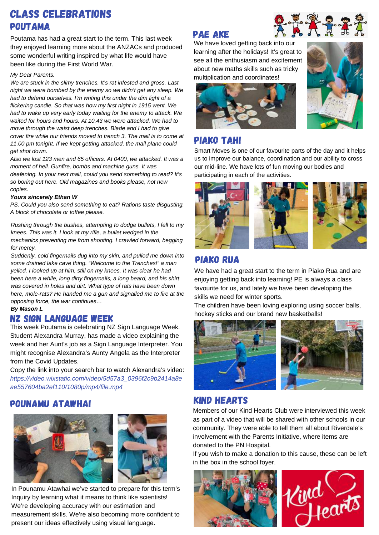## Class celebrations poutama

Poutama has had a great start to the term. This last week they enjoyed learning more about the ANZACs and produced some wonderful writing inspired by what life would have been like during the First World War.

#### *My Dear Parents.*

*We are stuck in the slimy trenches. It's rat infested and gross. Last night we were bombed by the enemy so we didn't get any sleep. We had to defend ourselves. I'm writing this under the dim light of a flickering candle. So that was how my first night in 1915 went. We had to wake up very early today waiting for the enemy to attack. We waited for hours and hours. At 10.43 we were attacked. We had to move through the waist deep trenches. Blade and I had to give cover fire while our friends moved to trench 3. The mail is to come at 11.00 pm tonight. If we kept getting attacked, the mail plane could get shot down.*

*Also we lost 123 men and 65 officers. At 0400, we attacked. It was a moment of hell. Gunfire, bombs and machine guns. It was deafening. In your next mail, could you send something to read? It's so boring out here. Old magazines and books please, not new copies.*

#### *Yours sincerely Ethan W*

*PS. Could you also send something to eat? Rations taste disgusting. A block of chocolate or toffee please.*

*Rushing through the bushes, attempting to dodge bullets, I fell to my knees. This was it. I look at my rifle, a bullet wedged in the mechanics preventing me from shooting. I crawled forward, begging for mercy.*

*Suddenly, cold fingernails dug into my skin, and pulled me down into some drained lake cave thing. "Welcome to the Trenches!" a man yelled. I looked up at him, still on my knees. It was clear he had been here a while, long dirty fingernails, a long beard, and his shirt was covered in holes and dirt. What type of rats have been down here, mole-rats? He handed me a gun and signalled me to fire at the opposing force, the war continues…*

#### *By Mason L*

## nz sign language week

This week Poutama is celebrating NZ Sign Language Week. Student Alexandra Murray, has made a video explaining the week and her Aunt's job as a Sign Language Interpreter. You might recognise Alexandra's Aunty Angela as the Interpreter from the Covid Updates.

Copy the link into your search bar to watch Alexandra's video: *https://video.wixstatic.com/video/5d57a3\_0396f2c9b2414a8e ae557604ba2ef110/1080p/mp4/file.mp4*

## pounamu atawhai



In Pounamu Atawhai we've started to prepare for this term's Inquiry by learning what it means to think like scientists! We're developing accuracy with our estimation and measurement skills. We're also becoming more confident to present our ideas effectively using visual language.

### pae ake



We have loved getting back into our learning after the holidays! It's great to see all the enthusiasm and excitement about new maths skills such as tricky multiplication and coordinates!





## piako tahi

Smart Moves is one of our favourite parts of the day and it helps us to improve our balance, coordination and our ability to cross our mid-line. We have lots of fun moving our bodies and participating in each of the activities.



## piako rua

We have had a great start to the term in Piako Rua and are enjoying getting back into learning! PE is always a class favourite for us, and lately we have been developing the skills we need for winter sports.

The children have been loving exploring using soccer balls, hockey sticks and our brand new basketballs!



## kind hearts

Members of our Kind Hearts Club were interviewed this week as part of a video that will be shared with other schools in our community. They were able to tell them all about Riverdale's involvement with the Parents Initiative, where items are donated to the PN Hospital.

If you wish to make a donation to this cause, these can be left in the box in the school foyer.